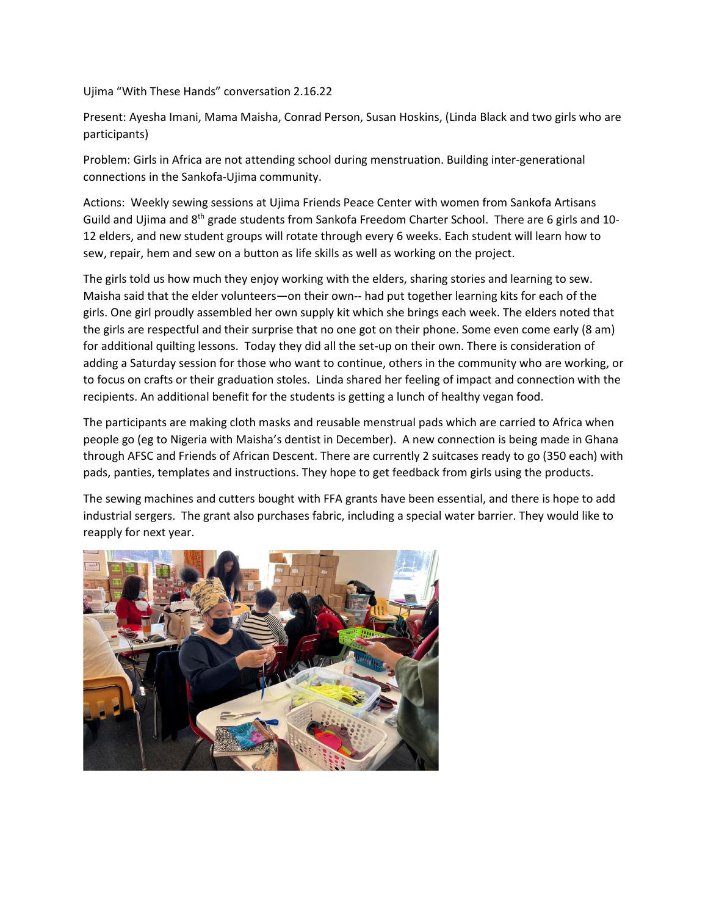Ujima "With These Hands" conversation 2.16.22

Present: Ayesha Imani, Mama Maisha, Conrad Person, Susan Hoskins, (Linda Black and two girls who are participants)

Problem: Girls in Africa are not attending school during menstruation. Building inter-generational connections in the Sankofa-Ujima community.

Actions: Weekly sewing sessions at Ujima Friends Peace Center with women from Sankofa Artisans Guild and Ujima and 8<sup>th</sup> grade students from Sankofa Freedom Charter School. There are 6 girls and 10-12 elders, and new student groups will rotate through every 6 weeks. Each student will learn how to sew, repair, hem and sew on a button as life skills as well as working on the project.

The girls told us how much they enjoy working with the elders, sharing stories and learning to sew. Maisha said that the elder volunteers—on their own-- had put together learning kits for each of the girls. One girl proudly assembled her own supply kit which she brings each week. The elders noted that the girls are respectful and their surprise that no one got on their phone. Some even come early (8 am) for additional quilting lessons. Today they did all the set-up on their own. There is consideration of adding a Saturday session for those who want to continue, others in the community who are working, or to focus on crafts or their graduation stoles. Linda shared her feeling of impact and connection with the recipients. An additional benefit for the students is getting a lunch of healthy vegan food.

The participants are making cloth masks and reusable menstrual pads which are carried to Africa when people go (eg to Nigeria with Maisha's dentist in December). A new connection is being made in Ghana through AFSC and Friends of African Descent. There are currently 2 suitcases ready to go (350 each) with pads, panties, templates and instructions. They hope to get feedback from girls using the products.

The sewing machines and cutters bought with FFA grants have been essential, and there is hope to add industrial sergers. The grant also purchases fabric, including a special water barrier. They would like to reapply for next year.

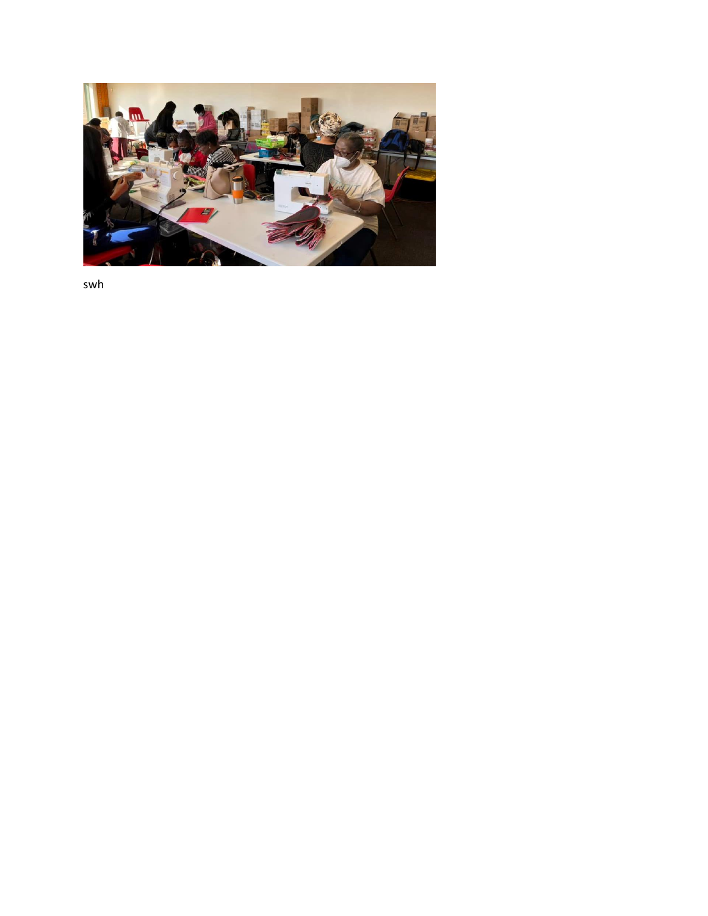

swh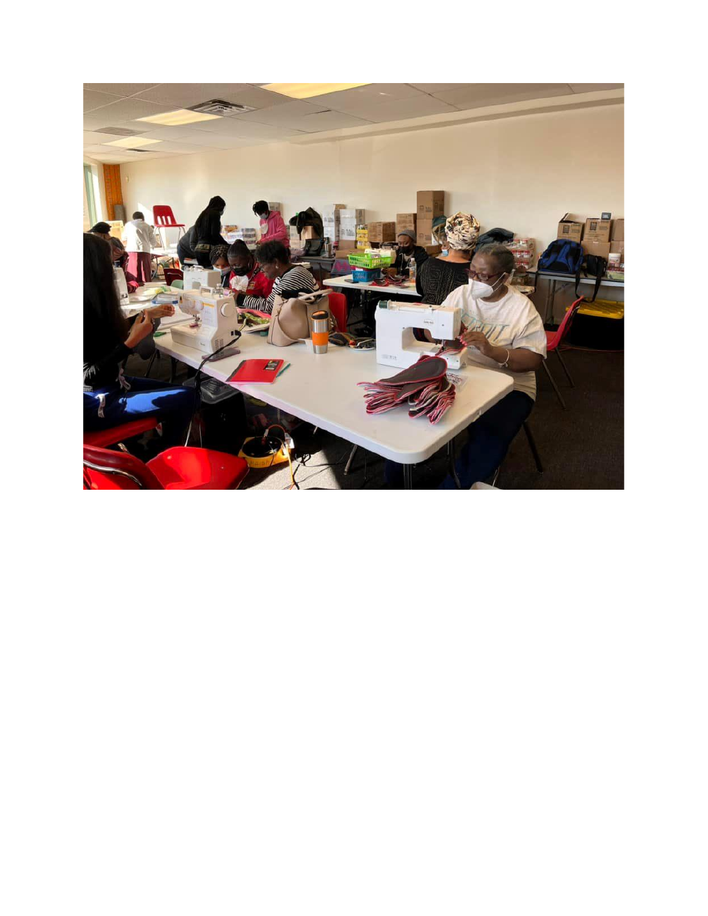